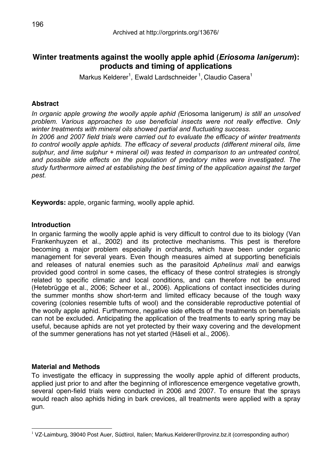# **Winter treatments against the woolly apple aphid (***Eriosoma lanigerum***): products and timing of applications**

Markus Kelderer<sup>1</sup>, Ewald Lardschneider <sup>1</sup>, Claudio Casera<sup>1</sup>

## **Abstract**

*In organic apple growing the woolly apple aphid (*Eriosoma lanigerum*) is still an unsolved problem. Various approaches to use beneficial insects were not really effective. Only winter treatments with mineral oils showed partial and fluctuating success.*

*In 2006 and 2007 field trials were carried out to evaluate the efficacy of winter treatments*  to control woolly apple aphids. The efficacy of several products (different mineral oils, lime *sulphur, and lime sulphur + mineral oil) was tested in comparison to an untreated control, and possible side effects on the population of predatory mites were investigated. The study furthermore aimed at establishing the best timing of the application against the target pest.*

**Keywords:** apple, organic farming, woolly apple aphid.

## **Introduction**

In organic farming the woolly apple aphid is very difficult to control due to its biology (Van Frankenhuyzen et al., 2002) and its protective mechanisms. This pest is therefore becoming a major problem especially in orchards, which have been under organic management for several years. Even though measures aimed at supporting beneficials and releases of natural enemies such as the parasitoid *Aphelinus mali* and earwigs provided good control in some cases, the efficacy of these control strategies is strongly related to specific climatic and local conditions, and can therefore not be ensured (Hetebrügge et al., 2006; Scheer et al., 2006). Applications of contact insecticides during the summer months show short-term and limited efficacy because of the tough waxy covering (colonies resemble tufts of wool) and the considerable reproductive potential of the woolly apple aphid. Furthermore, negative side effects of the treatments on beneficials can not be excluded. Anticipating the application of the treatments to early spring may be useful, because aphids are not yet protected by their waxy covering and the development of the summer generations has not yet started (Häseli et al., 2006).

## **Material and Methods**

To investigate the efficacy in suppressing the woolly apple aphid of different products, applied just prior to and after the beginning of inflorescence emergence vegetative growth, several open-field trials were conducted in 2006 and 2007. To ensure that the sprays would reach also aphids hiding in bark crevices, all treatments were applied with a spray gun.

<sup>1</sup> VZ-Laimburg, 39040 Post Auer, Südtirol, Italien; Markus.Kelderer@provinz.bz.it (corresponding author)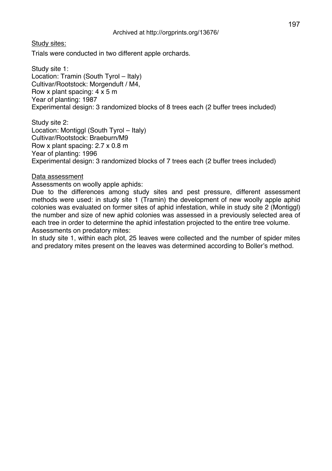Study sites:

Trials were conducted in two different apple orchards.

Study site 1: Location: Tramin (South Tyrol – Italy) Cultivar/Rootstock: Morgenduft / M4, Row x plant spacing: 4 x 5 m Year of planting: 1987 Experimental design: 3 randomized blocks of 8 trees each (2 buffer trees included)

Study site 2: Location: Montiggl (South Tyrol – Italy) Cultivar/Rootstock: Braeburn/M9 Row x plant spacing: 2.7 x 0.8 m Year of planting: 1996 Experimental design: 3 randomized blocks of 7 trees each (2 buffer trees included)

### Data assessment

Assessments on woolly apple aphids:

Due to the differences among study sites and pest pressure, different assessment methods were used: in study site 1 (Tramin) the development of new woolly apple aphid colonies was evaluated on former sites of aphid infestation, while in study site 2 (Montiggl) the number and size of new aphid colonies was assessed in a previously selected area of each tree in order to determine the aphid infestation projected to the entire tree volume. Assessments on predatory mites:

In study site 1, within each plot, 25 leaves were collected and the number of spider mites and predatory mites present on the leaves was determined according to Boller's method.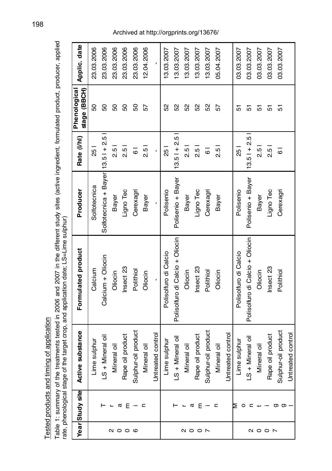| i                                                                  |
|--------------------------------------------------------------------|
|                                                                    |
| ֖֖֧ׅ֧֧ׅ֧֧֧ׅ֧֧֛֚֚֚֚֚֚֚֚֚֚֚֚֚֚֚֚֬֕֝֓֕֓֕֓֡֬֝֬֝֬֝֬֝֬֓֝֬֝֬֜֓֝֬֝֬֜֓<br>3 |
| ءِ<br>م                                                            |
|                                                                    |
|                                                                    |

Table 1: summary of the treatments tested in 2006 and 2007 in t Table 1: summary of the treatments tested in 2006 and 2007 in the different study sites (active ingredient, formulated product, producer, applied rate, phenological stage of the target crop, and application date; LS=Lime sulphur)

|                 | Year Study site | Active substance    | Formulated product              | Producer                         | Rate (I/hl)        | stage (BBCH)<br>Phenological | Applic. date |
|-----------------|-----------------|---------------------|---------------------------------|----------------------------------|--------------------|------------------------------|--------------|
|                 |                 | Lime sulphur        | Calcium                         | Solfotecnica                     | $\frac{1}{25}$     | 50                           | 23.03.2006   |
|                 |                 | LS + Mineral oil    | Calcium + Oliocin               | Solfotecnica + Bayer 13.51 + 2.5 |                    | 50                           | 23.03.2006   |
| <b>a o o o</b>  |                 | Mineral oil         | Oliocin                         | <b>Bayer</b>                     | $\frac{5}{2}$      | 50                           | 23.03.2006   |
|                 | a               | Rape oil product    | Insect <sub>23</sub>            | Ligno Tec                        | $\frac{5}{2}$      | 50                           | 23.03.2006   |
|                 | $E -$           | Sulphur-oil product | Polithiol                       | Cerexagri                        | $\overline{\circ}$ | 50                           | 23.03.2006   |
|                 | n               | Mineral oil         | Oliocin                         | Bayer                            | $\frac{5}{2}$      | 57                           | 12.04.2006   |
|                 |                 | Untreated control   |                                 | ï                                | $\blacksquare$     |                              |              |
|                 |                 | Lime sulphur        | Polisolfuro di Calcio           | Polisenio                        | $\frac{1}{25}$     | S <sub>2</sub>               | 13.03.2007   |
|                 |                 | LS + Mineral oil    | Polisolfuro di Calcio + Oliocin | Polisenio + Bayer                | $13.51 + 2.5$      | S                            | 13.03.2007   |
| $Q$ $Q$ $Q$ $R$ |                 | Mineral oil         | Oliocin                         | Bayer                            | 2.5                | 52                           | 13.03.2007   |
|                 | ε<br>α          | Rape oil product    | Insect <sub>23</sub>            | Ligno Tec                        | $\frac{5}{2}$      | 52                           | 13.03.2007   |
|                 | $\cdot$ –       | Sulphur-oil product | Polithiol                       | Cerexagri                        | $\overline{6}$     | S <sub>2</sub>               | 13.03.2007   |
|                 | c               | Mineral oil         | Oliocin                         | Bayer                            | $\frac{5}{2}$      | 57                           | 05.04.2007   |
|                 |                 | Untreated control   |                                 |                                  |                    |                              |              |
|                 | ⊵<br>$\circ$    | Lime sulphur        | Polisolfuro di Calcio           | Polisenio                        | $\frac{1}{25}$     | 5                            | 03.03.2007   |
|                 | c               | LS + Mineral oil    | Polisolfuro di Calcio + Oliocin | Polisenio + Bayer                | $13.51 + 2.5$      | 5                            | 03.03.2007   |
|                 |                 | Mineral oil         | Oliocin                         | <b>Bayer</b>                     | $\frac{5}{2}$      | 5                            | 03.03.2007   |
| 8 0 0 N         |                 | Rape oil product    | Insect <sub>23</sub>            | Ligno Tec                        | $\frac{5}{2}$      | 5                            | 03.03.2007   |
|                 | ත<br>ත          | Sulphur-oil product | Polithiol                       | Cerexagri                        | $\overline{6}$     | 5                            | 03.03.2007   |
|                 |                 | Untreated control   |                                 |                                  |                    |                              |              |

# Archived at http://orgprints.org/13676/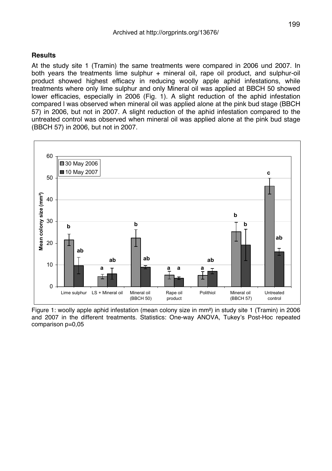### **Results**

At the study site 1 (Tramin) the same treatments were compared in 2006 und 2007. In both years the treatments lime sulphur + mineral oil, rape oil product, and sulphur-oil product showed highest efficacy in reducing woolly apple aphid infestations, while treatments where only lime sulphur and only Mineral oil was applied at BBCH 50 showed lower efficacies, especially in 2006 (Fig. 1). A slight reduction of the aphid infestation compared l was observed when mineral oil was applied alone at the pink bud stage (BBCH 57) in 2006, but not in 2007. A slight reduction of the aphid infestation compared to the untreated control was observed when mineral oil was applied alone at the pink bud stage (BBCH 57) in 2006, but not in 2007.



Figure 1: woolly apple aphid infestation (mean colony size in mm²) in study site 1 (Tramin) in 2006 and 2007 in the different treatments. Statistics: One-way ANOVA, Tukey's Post-Hoc repeated comparison p=0,05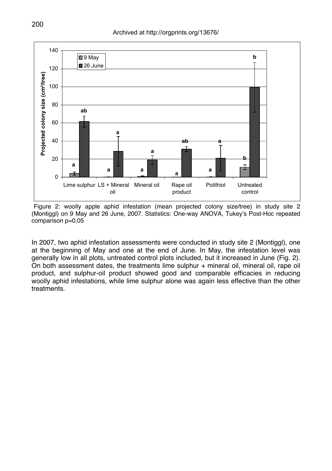

Figure 2: woolly apple aphid infestation (mean projected colony size/tree) in study site 2 (Montiggl) on 9 May and 26 June, 2007. Statistics: One-way ANOVA, Tukey's Post-Hoc repeated comparison p=0,05

In 2007, two aphid infestation assessments were conducted in study site 2 (Montiggl), one at the beginning of May and one at the end of June. In May, the infestation level was generally low in all plots, untreated control plots included, but it increased in June (Fig. 2). On both assessment dates, the treatments lime sulphur + mineral oil, mineral oil, rape oil product, and sulphur-oil product showed good and comparable efficacies in reducing woolly aphid infestations, while lime sulphur alone was again less effective than the other treatments.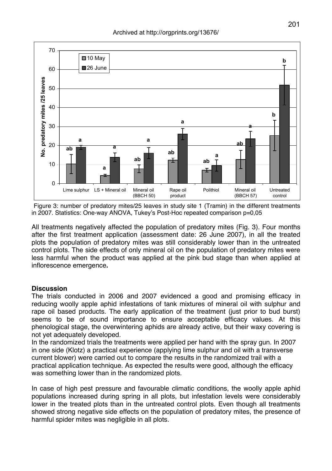

Figure 3: number of predatory mites/25 leaves in study site 1 (Tramin) in the different treatments in 2007. Statistics: One-way ANOVA, Tukey's Post-Hoc repeated comparison p=0,05

All treatments negatively affected the population of predatory mites (Fig. 3). Four months after the first treatment application (assessment date: 26 June 2007), in all the treated plots the population of predatory mites was still considerably lower than in the untreated control plots. The side effects of only mineral oil on the population of predatory mites were less harmful when the product was applied at the pink bud stage than when applied at inflorescence emergence**.**

#### **Discussion**

The trials conducted in 2006 and 2007 evidenced a good and promising efficacy in reducing woolly apple aphid infestations of tank mixtures of mineral oil with sulphur and rape oil based products. The early application of the treatment (just prior to bud burst) seems to be of sound importance to ensure acceptable efficacy values. At this phenological stage, the overwintering aphids are already active, but their waxy covering is not yet adequately developed.

In the randomized trials the treatments were applied per hand with the spray gun. In 2007 in one side (Klotz) a practical experience (applying lime sulphur and oil with a transverse current blower) were carried out to compare the results in the randomized trail with a practical application technique. As expected the results were good, although the efficacy was something lower than in the randomized plots.

In case of high pest pressure and favourable climatic conditions, the woolly apple aphid populations increased during spring in all plots, but infestation levels were considerably lower in the treated plots than in the untreated control plots. Even though all treatments showed strong negative side effects on the population of predatory mites, the presence of harmful spider mites was negligible in all plots.